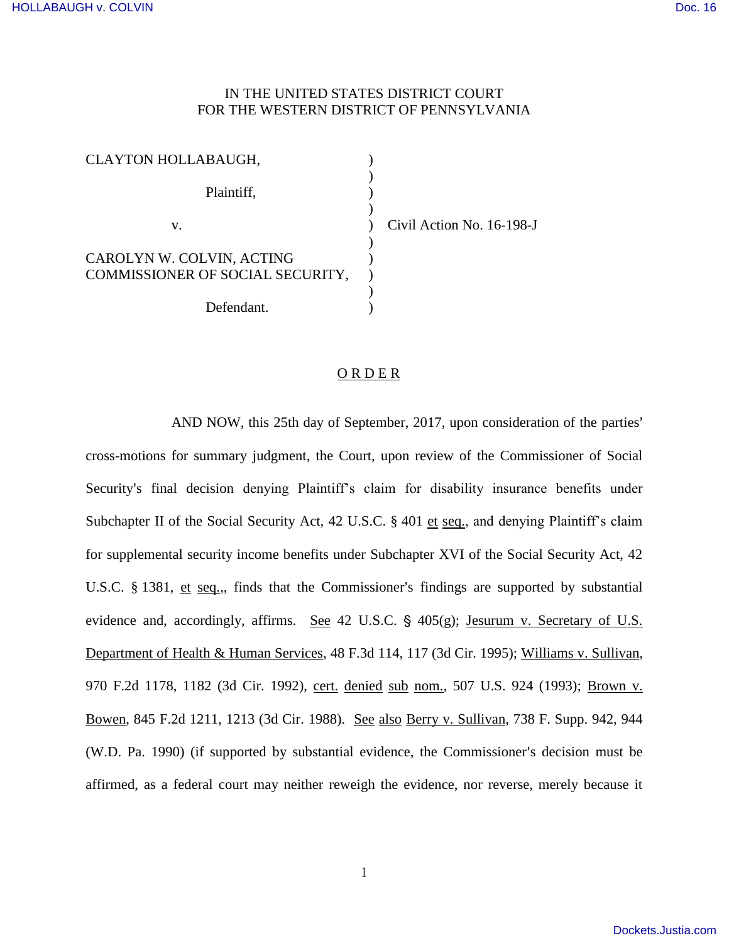## IN THE UNITED STATES DISTRICT COURT FOR THE WESTERN DISTRICT OF PENNSYLVANIA

| <b>CLAYTON HOLLABAUGH,</b>       |  |
|----------------------------------|--|
|                                  |  |
| Plaintiff,                       |  |
|                                  |  |
| V.                               |  |
|                                  |  |
| CAROLYN W. COLVIN, ACTING        |  |
| COMMISSIONER OF SOCIAL SECURITY, |  |
|                                  |  |
| Defendant                        |  |

 $v$ il Action No. 16-198-J

## O R D E R

AND NOW, this 25th day of September, 2017, upon consideration of the parties' cross-motions for summary judgment, the Court, upon review of the Commissioner of Social Security's final decision denying Plaintiff's claim for disability insurance benefits under Subchapter II of the Social Security Act, 42 U.S.C. § 401 et seq., and denying Plaintiff's claim for supplemental security income benefits under Subchapter XVI of the Social Security Act, 42 U.S.C.  $\S$  1381, et seq.,, finds that the Commissioner's findings are supported by substantial evidence and, accordingly, affirms. See 42 U.S.C.  $\S$  405(g); Jesurum v. Secretary of U.S. Department of Health & Human Services, 48 F.3d 114, 117 (3d Cir. 1995); Williams v. Sullivan, 970 F.2d 1178, 1182 (3d Cir. 1992), cert. denied sub nom., 507 U.S. 924 (1993); Brown v. Bowen, 845 F.2d 1211, 1213 (3d Cir. 1988). See also Berry v. Sullivan, 738 F. Supp. 942, 944 (W.D. Pa. 1990) (if supported by substantial evidence, the Commissioner's decision must be affirmed, as a federal court may neither reweigh the evidence, nor reverse, merely because it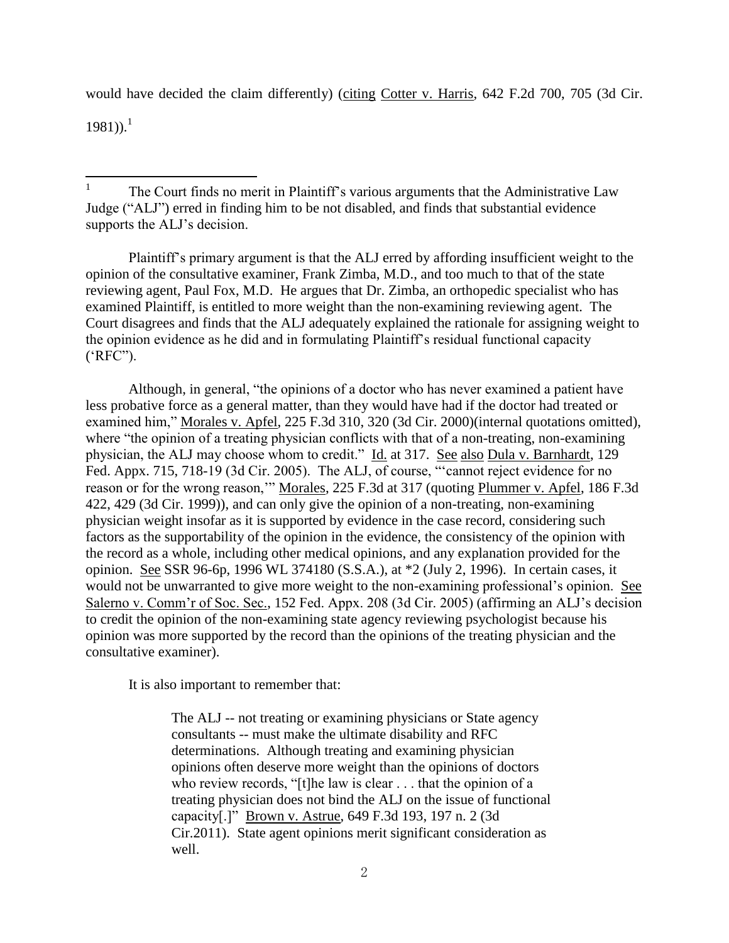would have decided the claim differently) (citing Cotter v. Harris, 642 F.2d 700, 705 (3d Cir.

 $1981)$ <sup>1</sup>

Plaintiff's primary argument is that the ALJ erred by affording insufficient weight to the opinion of the consultative examiner, Frank Zimba, M.D., and too much to that of the state reviewing agent, Paul Fox, M.D. He argues that Dr. Zimba, an orthopedic specialist who has examined Plaintiff, is entitled to more weight than the non-examining reviewing agent. The Court disagrees and finds that the ALJ adequately explained the rationale for assigning weight to the opinion evidence as he did and in formulating Plaintiff's residual functional capacity ('RFC").

Although, in general, "the opinions of a doctor who has never examined a patient have less probative force as a general matter, than they would have had if the doctor had treated or examined him," Morales v. Apfel, 225 F.3d 310, 320 (3d Cir. 2000)(internal quotations omitted), where "the opinion of a treating physician conflicts with that of a non-treating, non-examining physician, the ALJ may choose whom to credit." Id. at 317. See also Dula v. Barnhardt, 129 Fed. Appx. 715, 718-19 (3d Cir. 2005). The ALJ, of course, "'cannot reject evidence for no reason or for the wrong reason,'" Morales, 225 F.3d at 317 (quoting Plummer v. Apfel, 186 F.3d 422, 429 (3d Cir. 1999)), and can only give the opinion of a non-treating, non-examining physician weight insofar as it is supported by evidence in the case record, considering such factors as the supportability of the opinion in the evidence, the consistency of the opinion with the record as a whole, including other medical opinions, and any explanation provided for the opinion. See SSR 96-6p, 1996 WL 374180 (S.S.A.), at \*2 (July 2, 1996). In certain cases, it would not be unwarranted to give more weight to the non-examining professional's opinion. See Salerno v. Comm'r of Soc. Sec., 152 Fed. Appx. 208 (3d Cir. 2005) (affirming an ALJ's decision to credit the opinion of the non-examining state agency reviewing psychologist because his opinion was more supported by the record than the opinions of the treating physician and the consultative examiner).

It is also important to remember that:

The ALJ -- not treating or examining physicians or State agency consultants -- must make the ultimate disability and RFC determinations. Although treating and examining physician opinions often deserve more weight than the opinions of doctors who review records, "[t]he law is clear . . . that the opinion of a treating physician does not bind the ALJ on the issue of functional capacity[.]" Brown v. Astrue, 649 F.3d 193, 197 n. 2 (3d Cir.2011). State agent opinions merit significant consideration as well.

<sup>|&</sup>lt;br>|<br>| The Court finds no merit in Plaintiff's various arguments that the Administrative Law Judge ("ALJ") erred in finding him to be not disabled, and finds that substantial evidence supports the ALJ's decision.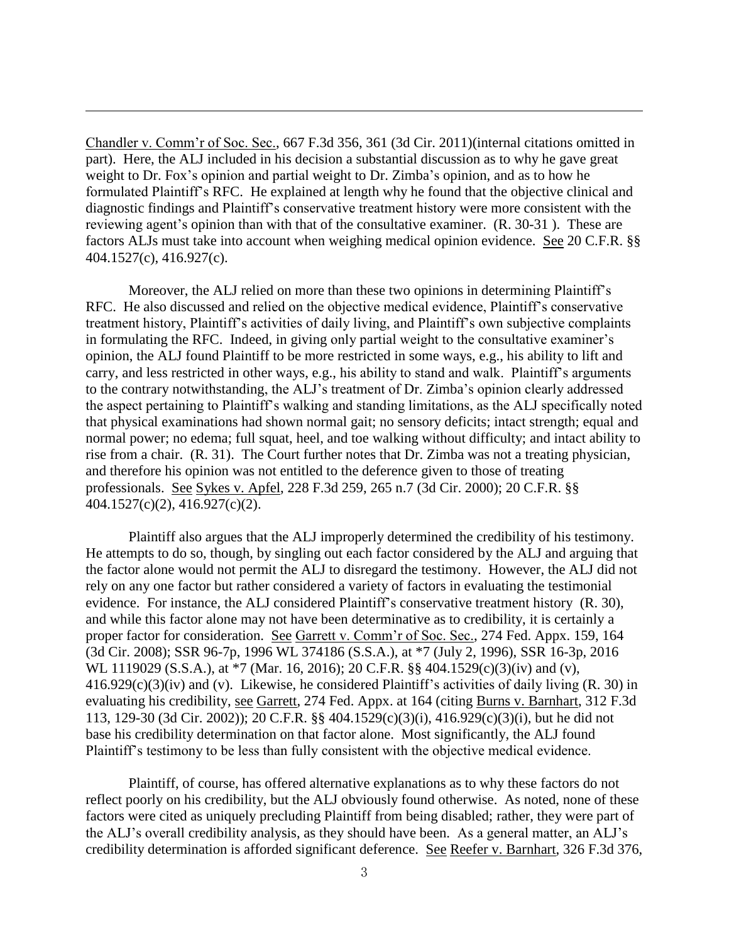Chandler v. Comm'r of Soc. Sec., 667 F.3d 356, 361 (3d Cir. 2011)(internal citations omitted in part). Here, the ALJ included in his decision a substantial discussion as to why he gave great weight to Dr. Fox's opinion and partial weight to Dr. Zimba's opinion, and as to how he formulated Plaintiff's RFC. He explained at length why he found that the objective clinical and diagnostic findings and Plaintiff's conservative treatment history were more consistent with the reviewing agent's opinion than with that of the consultative examiner. (R. 30-31 ). These are factors ALJs must take into account when weighing medical opinion evidence. See 20 C.F.R. §§ 404.1527(c), 416.927(c).

 $\overline{a}$ 

Moreover, the ALJ relied on more than these two opinions in determining Plaintiff's RFC. He also discussed and relied on the objective medical evidence, Plaintiff's conservative treatment history, Plaintiff's activities of daily living, and Plaintiff's own subjective complaints in formulating the RFC. Indeed, in giving only partial weight to the consultative examiner's opinion, the ALJ found Plaintiff to be more restricted in some ways, e.g., his ability to lift and carry, and less restricted in other ways, e.g., his ability to stand and walk. Plaintiff's arguments to the contrary notwithstanding, the ALJ's treatment of Dr. Zimba's opinion clearly addressed the aspect pertaining to Plaintiff's walking and standing limitations, as the ALJ specifically noted that physical examinations had shown normal gait; no sensory deficits; intact strength; equal and normal power; no edema; full squat, heel, and toe walking without difficulty; and intact ability to rise from a chair. (R. 31). The Court further notes that Dr. Zimba was not a treating physician, and therefore his opinion was not entitled to the deference given to those of treating professionals. See Sykes v. Apfel, 228 F.3d 259, 265 n.7 (3d Cir. 2000); 20 C.F.R. §§ 404.1527(c)(2), 416.927(c)(2).

Plaintiff also argues that the ALJ improperly determined the credibility of his testimony. He attempts to do so, though, by singling out each factor considered by the ALJ and arguing that the factor alone would not permit the ALJ to disregard the testimony. However, the ALJ did not rely on any one factor but rather considered a variety of factors in evaluating the testimonial evidence. For instance, the ALJ considered Plaintiff's conservative treatment history (R. 30), and while this factor alone may not have been determinative as to credibility, it is certainly a proper factor for consideration. See Garrett v. Comm'r of Soc. Sec., 274 Fed. Appx. 159, 164 (3d Cir. 2008); SSR 96-7p, 1996 WL 374186 (S.S.A.), at \*7 (July 2, 1996), SSR 16-3p, 2016 WL 1119029 (S.S.A.), at \*7 (Mar. 16, 2016); 20 C.F.R. §§ 404.1529(c)(3)(iv) and (v), 416.929(c)(3)(iv) and (v). Likewise, he considered Plaintiff's activities of daily living (R. 30) in evaluating his credibility, see Garrett, 274 Fed. Appx. at 164 (citing Burns v. Barnhart, 312 F.3d 113, 129-30 (3d Cir. 2002)); 20 C.F.R. §§ 404.1529(c)(3)(i), 416.929(c)(3)(i), but he did not base his credibility determination on that factor alone. Most significantly, the ALJ found Plaintiff's testimony to be less than fully consistent with the objective medical evidence.

Plaintiff, of course, has offered alternative explanations as to why these factors do not reflect poorly on his credibility, but the ALJ obviously found otherwise. As noted, none of these factors were cited as uniquely precluding Plaintiff from being disabled; rather, they were part of the ALJ's overall credibility analysis, as they should have been. As a general matter, an ALJ's credibility determination is afforded significant deference. See Reefer v. Barnhart, 326 F.3d 376,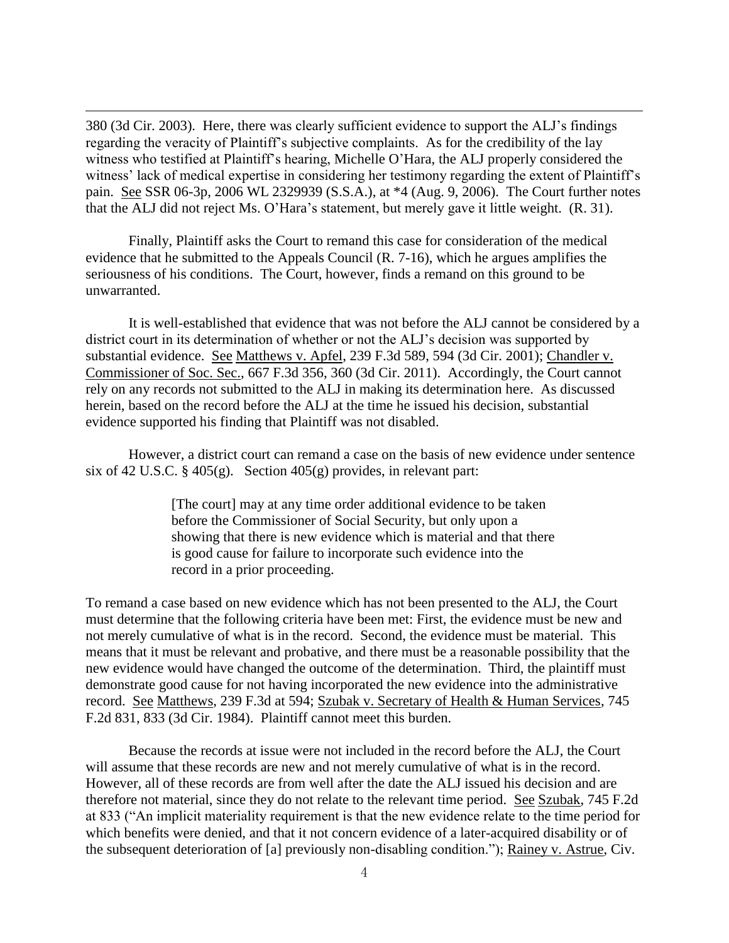380 (3d Cir. 2003). Here, there was clearly sufficient evidence to support the ALJ's findings regarding the veracity of Plaintiff's subjective complaints. As for the credibility of the lay witness who testified at Plaintiff's hearing, Michelle O'Hara, the ALJ properly considered the witness' lack of medical expertise in considering her testimony regarding the extent of Plaintiff's pain. See SSR 06-3p, 2006 WL 2329939 (S.S.A.), at \*4 (Aug. 9, 2006). The Court further notes that the ALJ did not reject Ms. O'Hara's statement, but merely gave it little weight. (R. 31).

 $\overline{a}$ 

Finally, Plaintiff asks the Court to remand this case for consideration of the medical evidence that he submitted to the Appeals Council (R. 7-16), which he argues amplifies the seriousness of his conditions. The Court, however, finds a remand on this ground to be unwarranted.

It is well-established that evidence that was not before the ALJ cannot be considered by a district court in its determination of whether or not the ALJ's decision was supported by substantial evidence. See Matthews v. Apfel, 239 F.3d 589, 594 (3d Cir. 2001); Chandler v. Commissioner of Soc. Sec., 667 F.3d 356, 360 (3d Cir. 2011). Accordingly, the Court cannot rely on any records not submitted to the ALJ in making its determination here. As discussed herein, based on the record before the ALJ at the time he issued his decision, substantial evidence supported his finding that Plaintiff was not disabled.

However, a district court can remand a case on the basis of new evidence under sentence six of 42 U.S.C. § 405(g). Section 405(g) provides, in relevant part:

> [The court] may at any time order additional evidence to be taken before the Commissioner of Social Security, but only upon a showing that there is new evidence which is material and that there is good cause for failure to incorporate such evidence into the record in a prior proceeding.

To remand a case based on new evidence which has not been presented to the ALJ, the Court must determine that the following criteria have been met: First, the evidence must be new and not merely cumulative of what is in the record. Second, the evidence must be material. This means that it must be relevant and probative, and there must be a reasonable possibility that the new evidence would have changed the outcome of the determination. Third, the plaintiff must demonstrate good cause for not having incorporated the new evidence into the administrative record. See Matthews, 239 F.3d at 594; Szubak v. Secretary of Health & Human Services, 745 F.2d 831, 833 (3d Cir. 1984). Plaintiff cannot meet this burden.

 Because the records at issue were not included in the record before the ALJ, the Court will assume that these records are new and not merely cumulative of what is in the record. However, all of these records are from well after the date the ALJ issued his decision and are therefore not material, since they do not relate to the relevant time period. See Szubak, 745 F.2d at 833 ("An implicit materiality requirement is that the new evidence relate to the time period for which benefits were denied, and that it not concern evidence of a later-acquired disability or of the subsequent deterioration of [a] previously non-disabling condition."); Rainey v. Astrue, Civ.